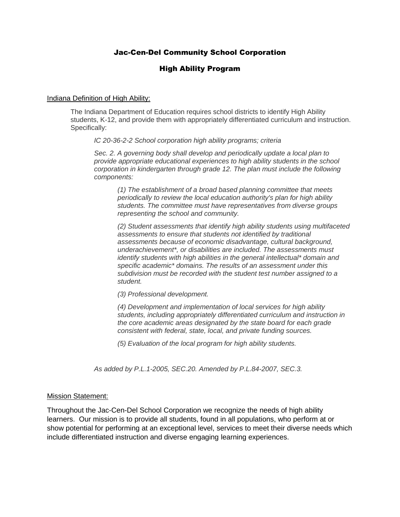### Jac-Cen-Del Community School Corporation

#### High Ability Program

#### Indiana Definition of High Ability:

The Indiana Department of Education requires school districts to identify High Ability students, K-12, and provide them with appropriately differentiated curriculum and instruction. Specifically:

*IC 20-36-2-2 School corporation high ability programs; criteria*

*Sec. 2. A governing body shall develop and periodically update a local plan to provide appropriate educational experiences to high ability students in the school corporation in kindergarten through grade 12. The plan must include the following components:*

*(1) The establishment of a broad based planning committee that meets periodically to review the local education authority's plan for high ability students. The committee must have representatives from diverse groups representing the school and community.*

*(2) Student assessments that identify high ability students using multifaceted assessments to ensure that students not identified by traditional assessments because of economic disadvantage, cultural background, underachievement\*, or disabilities are included. The assessments must identify students with high abilities in the general intellectual\* domain and specific academic\* domains. The results of an assessment under this subdivision must be recorded with the student test number assigned to a student.*

*(3) Professional development.*

*(4) Development and implementation of local services for high ability students, including appropriately differentiated curriculum and instruction in the core academic areas designated by the state board for each grade consistent with federal, state, local, and private funding sources.*

*(5) Evaluation of the local program for high ability students.*

*As added by P.L.1-2005, SEC.20. Amended by P.L.84-2007, SEC.3.*

#### Mission Statement:

Throughout the Jac-Cen-Del School Corporation we recognize the needs of high ability learners. Our mission is to provide all students, found in all populations, who perform at or show potential for performing at an exceptional level, services to meet their diverse needs which include differentiated instruction and diverse engaging learning experiences.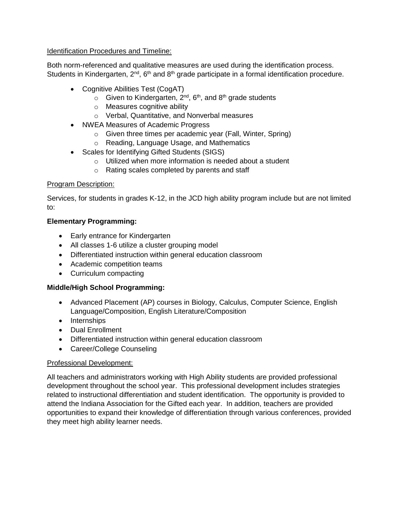### Identification Procedures and Timeline:

Both norm-referenced and qualitative measures are used during the identification process. Students in Kindergarten,  $2^{nd}$ , 6<sup>th</sup> and 8<sup>th</sup> grade participate in a formal identification procedure.

- Cognitive Abilities Test (CogAT)
	- $\circ$  Given to Kindergarten, 2<sup>nd</sup>, 6<sup>th</sup>, and 8<sup>th</sup> grade students
	- o Measures cognitive ability
	- o Verbal, Quantitative, and Nonverbal measures
- NWEA Measures of Academic Progress
	- o Given three times per academic year (Fall, Winter, Spring)
	- o Reading, Language Usage, and Mathematics
- Scales for Identifying Gifted Students (SIGS)
	- o Utilized when more information is needed about a student
	- o Rating scales completed by parents and staff

# Program Description:

Services, for students in grades K-12, in the JCD high ability program include but are not limited to:

# **Elementary Programming:**

- Early entrance for Kindergarten
- All classes 1-6 utilize a cluster grouping model
- Differentiated instruction within general education classroom
- Academic competition teams
- Curriculum compacting

# **Middle/High School Programming:**

- Advanced Placement (AP) courses in Biology, Calculus, Computer Science, English Language/Composition, English Literature/Composition
- Internships
- Dual Enrollment
- Differentiated instruction within general education classroom
- Career/College Counseling

# Professional Development:

All teachers and administrators working with High Ability students are provided professional development throughout the school year. This professional development includes strategies related to instructional differentiation and student identification. The opportunity is provided to attend the Indiana Association for the Gifted each year. In addition, teachers are provided opportunities to expand their knowledge of differentiation through various conferences, provided they meet high ability learner needs.